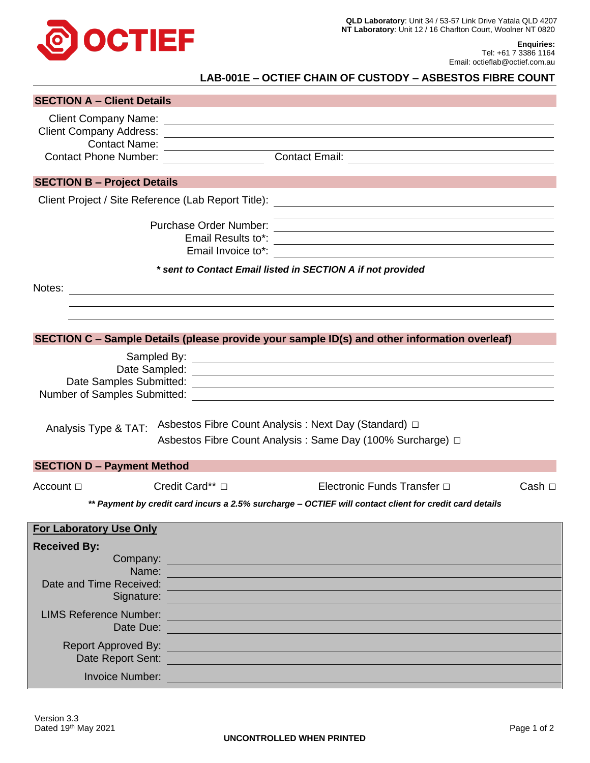

**Enquiries:** Tel: +61 7 3386 1164 Email: octieflab@octief.com.au

## **LAB-001E – OCTIEF CHAIN OF CUSTODY – ASBESTOS FIBRE COUNT**

| <b>SECTION A - Client Details</b>                           |                                                                                                                                                                                                                                |                                                                                                                                                                                                                               |             |  |  |  |  |  |  |
|-------------------------------------------------------------|--------------------------------------------------------------------------------------------------------------------------------------------------------------------------------------------------------------------------------|-------------------------------------------------------------------------------------------------------------------------------------------------------------------------------------------------------------------------------|-------------|--|--|--|--|--|--|
|                                                             |                                                                                                                                                                                                                                |                                                                                                                                                                                                                               |             |  |  |  |  |  |  |
|                                                             |                                                                                                                                                                                                                                |                                                                                                                                                                                                                               |             |  |  |  |  |  |  |
|                                                             | Contact Name:                                                                                                                                                                                                                  |                                                                                                                                                                                                                               |             |  |  |  |  |  |  |
|                                                             | Contact Phone Number: __________________                                                                                                                                                                                       | Contact Email:                                                                                                                                                                                                                |             |  |  |  |  |  |  |
| <b>SECTION B - Project Details</b>                          |                                                                                                                                                                                                                                |                                                                                                                                                                                                                               |             |  |  |  |  |  |  |
|                                                             |                                                                                                                                                                                                                                |                                                                                                                                                                                                                               |             |  |  |  |  |  |  |
|                                                             |                                                                                                                                                                                                                                |                                                                                                                                                                                                                               |             |  |  |  |  |  |  |
| * sent to Contact Email listed in SECTION A if not provided |                                                                                                                                                                                                                                |                                                                                                                                                                                                                               |             |  |  |  |  |  |  |
|                                                             |                                                                                                                                                                                                                                | Notes: Notes: 2008. And 2008. The contract of the contract of the contract of the contract of the contract of the contract of the contract of the contract of the contract of the contract of the contract of the contract of |             |  |  |  |  |  |  |
|                                                             |                                                                                                                                                                                                                                |                                                                                                                                                                                                                               |             |  |  |  |  |  |  |
|                                                             |                                                                                                                                                                                                                                |                                                                                                                                                                                                                               |             |  |  |  |  |  |  |
|                                                             |                                                                                                                                                                                                                                | SECTION C - Sample Details (please provide your sample ID(s) and other information overleaf)                                                                                                                                  |             |  |  |  |  |  |  |
|                                                             |                                                                                                                                                                                                                                |                                                                                                                                                                                                                               |             |  |  |  |  |  |  |
| Analysis Type & TAT:                                        |                                                                                                                                                                                                                                | Asbestos Fibre Count Analysis : Next Day (Standard) □<br>Asbestos Fibre Count Analysis : Same Day (100% Surcharge) □                                                                                                          |             |  |  |  |  |  |  |
| <b>SECTION D - Payment Method</b>                           |                                                                                                                                                                                                                                |                                                                                                                                                                                                                               |             |  |  |  |  |  |  |
| Account $\Box$                                              | Credit Card** □                                                                                                                                                                                                                | Electronic Funds Transfer □                                                                                                                                                                                                   | Cash $\Box$ |  |  |  |  |  |  |
|                                                             |                                                                                                                                                                                                                                | ** Payment by credit card incurs a 2.5% surcharge - OCTIEF will contact client for credit card details                                                                                                                        |             |  |  |  |  |  |  |
|                                                             |                                                                                                                                                                                                                                |                                                                                                                                                                                                                               |             |  |  |  |  |  |  |
| <b>For Laboratory Use Only</b>                              |                                                                                                                                                                                                                                |                                                                                                                                                                                                                               |             |  |  |  |  |  |  |
| <b>Received By:</b>                                         |                                                                                                                                                                                                                                |                                                                                                                                                                                                                               |             |  |  |  |  |  |  |
|                                                             | Company:                                                                                                                                                                                                                       |                                                                                                                                                                                                                               |             |  |  |  |  |  |  |
|                                                             | Name: Name and the contract of the contract of the contract of the contract of the contract of the contract of the contract of the contract of the contract of the contract of the contract of the contract of the contract of |                                                                                                                                                                                                                               |             |  |  |  |  |  |  |
|                                                             | Signature: <u>Communication</u>                                                                                                                                                                                                |                                                                                                                                                                                                                               |             |  |  |  |  |  |  |
| <b>LIMS Reference Number:</b>                               |                                                                                                                                                                                                                                |                                                                                                                                                                                                                               |             |  |  |  |  |  |  |
|                                                             | Date Due:                                                                                                                                                                                                                      |                                                                                                                                                                                                                               |             |  |  |  |  |  |  |
|                                                             |                                                                                                                                                                                                                                |                                                                                                                                                                                                                               |             |  |  |  |  |  |  |
|                                                             | Date Report Sent:                                                                                                                                                                                                              |                                                                                                                                                                                                                               |             |  |  |  |  |  |  |
|                                                             | Invoice Number: National Property of the Community of the Community of the Community of the Community of the Community of the Community of the Community of the Community of the Community of the Community of the Community o |                                                                                                                                                                                                                               |             |  |  |  |  |  |  |
|                                                             |                                                                                                                                                                                                                                |                                                                                                                                                                                                                               |             |  |  |  |  |  |  |